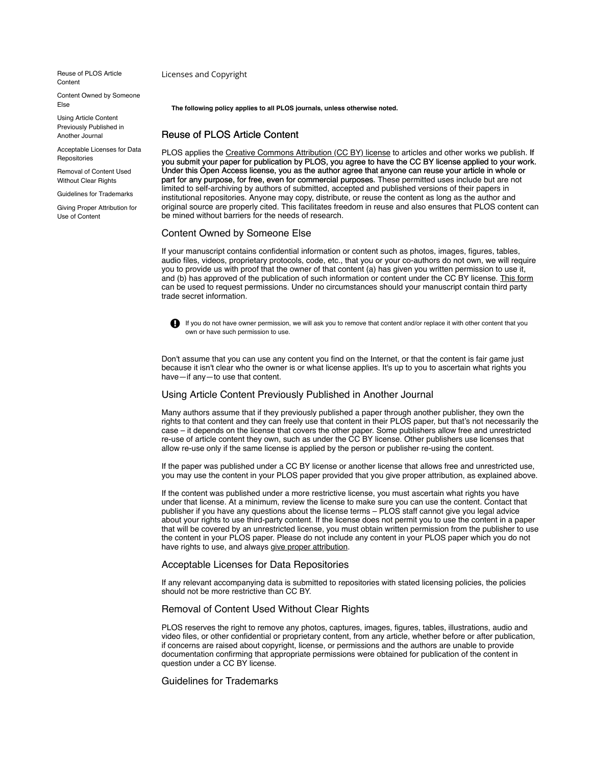[Reuse of PLOS Article](#page-0-0) **Content** 

[Content Owned by Someone](#page-0-1) Else

Using Article Content [Previously Published in](#page-0-2) Another Journal

[Acceptable Licenses for Data](#page-0-3) Repositories

[Removal of Content Used](#page-0-4) Without Clear Rights

[Guidelines for Trademarks](#page-0-5)

[Giving Proper Attribution for](#page-1-0) Use of Content

Licenses and Copyright

**The following policy applies to all PLOS journals, unless otherwise noted.**

# <span id="page-0-0"></span>Reuse of PLOS Article Content

PLOS applies the [Creative Commons Attribution \(CC BY\) license](https://creativecommons.org/licenses/by/4.0/) to articles and other works we publish. If you submit your paper for publication by PLOS, you agree to have the CC BY license applied to your work. Under this Open Access license, you as the author agree that anyone can reuse your article in whole or part for any purpose, for free, even for commercial purposes. These permitted uses include but are not limited to self-archiving by authors of submitted, accepted and published versions of their papers in institutional repositories. Anyone may copy, distribute, or reuse the content as long as the author and original source are properly cited. This facilitates freedom in reuse and also ensures that PLOS content can be mined without barriers for the needs of research.

### <span id="page-0-1"></span>Content Owned by Someone Else

If your manuscript contains confidential information or content such as photos, images, figures, tables, audio files, videos, proprietary protocols, code, etc., that you or your co-authors do not own, we will require you to provide us with proof that the owner of that content (a) has given you written permission to use it, and (b) has approved of the publication of such information or content under the CC BY license. [This form](https://journals.plos.org/plosone/s/file?id=7c09/content-permission-form.pdf) can be used to request permissions. Under no circumstances should your manuscript contain third party trade secret information.



If you do not have owner permission, we will ask you to remove that content and/or replace it with other content that you own or have such permission to use.

Don't assume that you can use any content you find on the Internet, or that the content is fair game just because it isn't clear who the owner is or what license applies. It's up to you to ascertain what rights you have—if any—to use that content.

## <span id="page-0-2"></span>Using Article Content Previously Published in Another Journal

Many authors assume that if they previously published a paper through another publisher, they own the rights to that content and they can freely use that content in their PLOS paper, but that's not necessarily the case – it depends on the license that covers the other paper. Some publishers allow free and unrestricted re-use of article content they own, such as under the CC BY license. Other publishers use licenses that allow re-use only if the same license is applied by the person or publisher re-using the content.

If the paper was published under a CC BY license or another license that allows free and unrestricted use, you may use the content in your PLOS paper provided that you give proper attribution, as explained above.

If the content was published under a more restrictive license, you must ascertain what rights you have under that license. At a minimum, review the license to make sure you can use the content. Contact that publisher if you have any questions about the license terms – PLOS staff cannot give you legal advice about your rights to use third-party content. If the license does not permit you to use the content in a paper that will be covered by an unrestricted license, you must obtain written permission from the publisher to use the content in your PLOS paper. Please do not include any content in your PLOS paper which you do not have rights to use, and always [give proper attribution](#page-1-0).

#### <span id="page-0-3"></span>Acceptable Licenses for Data Repositories

If any relevant accompanying data is submitted to repositories with stated licensing policies, the policies should not be more restrictive than CC BY.

## <span id="page-0-4"></span>Removal of Content Used Without Clear Rights

PLOS reserves the right to remove any photos, captures, images, figures, tables, illustrations, audio and video files, or other confidential or proprietary content, from any article, whether before or after publication, if concerns are raised about copyright, license, or permissions and the authors are unable to provide documentation confirming that appropriate permissions were obtained for publication of the content in question under a CC BY license.

## <span id="page-0-5"></span>Guidelines for Trademarks